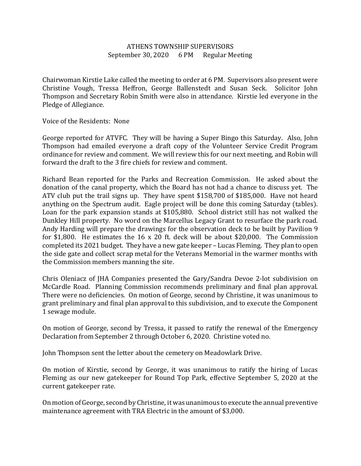## ATHENS TOWNSHIP SUPERVISORS September 30, 2020 6 PM Regular Meeting

Chairwoman Kirstie Lake called the meeting to order at 6 PM. Supervisors also present were Christine Vough, Tressa Heffron, George Ballenstedt and Susan Seck. Solicitor John Thompson and Secretary Robin Smith were also in attendance. Kirstie led everyone in the Pledge of Allegiance.

Voice of the Residents: None

George reported for ATVFC. They will be having a Super Bingo this Saturday. Also, John Thompson had emailed everyone a draft copy of the Volunteer Service Credit Program ordinance for review and comment. We will review this for our next meeting, and Robin will forward the draft to the 3 fire chiefs for review and comment.

Richard Bean reported for the Parks and Recreation Commission. He asked about the donation of the canal property, which the Board has not had a chance to discuss yet. The ATV club put the trail signs up. They have spent \$158,700 of \$185,000. Have not heard anything on the Spectrum audit. Eagle project will be done this coming Saturday (tables). Loan for the park expansion stands at \$105,880. School district still has not walked the Dunkley Hill property. No word on the Marcellus Legacy Grant to resurface the park road. Andy Harding will prepare the drawings for the observation deck to be built by Pavilion 9 for \$1,800. He estimates the 16 x 20 ft. deck will be about \$20,000. The Commission completed its 2021 budget. They have a new gate keeper – Lucas Fleming. They plan to open the side gate and collect scrap metal for the Veterans Memorial in the warmer months with the Commission members manning the site.

Chris Oleniacz of JHA Companies presented the Gary/Sandra Devoe 2-lot subdivision on McCardle Road. Planning Commission recommends preliminary and final plan approval. There were no deficiencies. On motion of George, second by Christine, it was unanimous to grant preliminary and final plan approval to this subdivision, and to execute the Component 1 sewage module.

On motion of George, second by Tressa, it passed to ratify the renewal of the Emergency Declaration from September 2 through October 6, 2020. Christine voted no.

John Thompson sent the letter about the cemetery on Meadowlark Drive.

On motion of Kirstie, second by George, it was unanimous to ratify the hiring of Lucas Fleming as our new gatekeeper for Round Top Park, effective September 5, 2020 at the current gatekeeper rate.

On motion of George, second by Christine, it was unanimous to execute the annual preventive maintenance agreement with TRA Electric in the amount of \$3,000.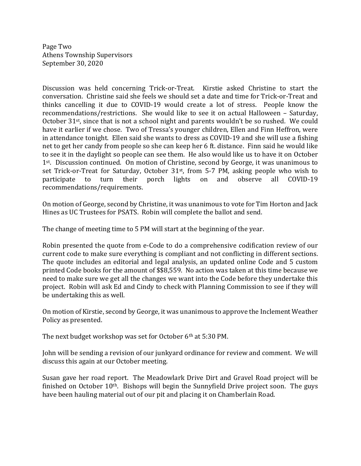Page Two Athens Township Supervisors September 30, 2020

Discussion was held concerning Trick-or-Treat. Kirstie asked Christine to start the conversation. Christine said she feels we should set a date and time for Trick-or-Treat and thinks cancelling it due to COVID-19 would create a lot of stress. People know the recommendations/restrictions. She would like to see it on actual Halloween – Saturday, October  $31^{st}$ , since that is not a school night and parents wouldn't be so rushed. We could have it earlier if we chose. Two of Tressa's younger children, Ellen and Finn Heffron, were in attendance tonight. Ellen said she wants to dress as COVID-19 and she will use a fishing net to get her candy from people so she can keep her 6 ft. distance. Finn said he would like to see it in the daylight so people can see them. He also would like us to have it on October 1<sup>st</sup>. Discussion continued. On motion of Christine, second by George, it was unanimous to set Trick-or-Treat for Saturday, October 31<sup>st</sup>, from 5-7 PM, asking people who wish to participate to turn their porch lights on and observe all COVID-19 recommendations/requirements.

On motion of George, second by Christine, it was unanimous to vote for Tim Horton and Jack Hines as UC Trustees for PSATS. Robin will complete the ballot and send.

The change of meeting time to 5 PM will start at the beginning of the year.

Robin presented the quote from e-Code to do a comprehensive codification review of our current code to make sure everything is compliant and not conflicting in different sections. The quote includes an editorial and legal analysis, an updated online Code and 5 custom printed Code books for the amount of \$\$8,559. No action was taken at this time because we need to make sure we get all the changes we want into the Code before they undertake this project. Robin will ask Ed and Cindy to check with Planning Commission to see if they will be undertaking this as well.

On motion of Kirstie, second by George, it was unanimous to approve the Inclement Weather Policy as presented.

The next budget workshop was set for October 6<sup>th</sup> at 5:30 PM.

John will be sending a revision of our junkyard ordinance for review and comment. We will discuss this again at our October meeting.

Susan gave her road report. The Meadowlark Drive Dirt and Gravel Road project will be finished on October  $10<sup>th</sup>$ . Bishops will begin the Sunnyfield Drive project soon. The guys have been hauling material out of our pit and placing it on Chamberlain Road.